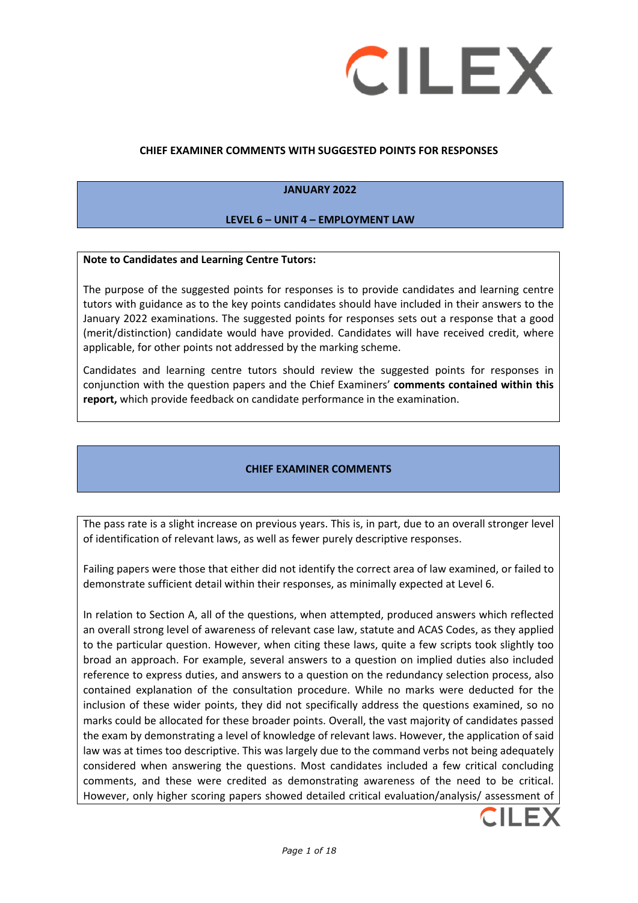

#### **CHIEF EXAMINER COMMENTS WITH SUGGESTED POINTS FOR RESPONSES**

#### **JANUARY 2022**

#### **LEVEL 6 – UNIT 4 – EMPLOYMENT LAW**

#### **Note to Candidates and Learning Centre Tutors:**

The purpose of the suggested points for responses is to provide candidates and learning centre tutors with guidance as to the key points candidates should have included in their answers to the January 2022 examinations. The suggested points for responses sets out a response that a good (merit/distinction) candidate would have provided. Candidates will have received credit, where applicable, for other points not addressed by the marking scheme.

Candidates and learning centre tutors should review the suggested points for responses in conjunction with the question papers and the Chief Examiners' **comments contained within this report,** which provide feedback on candidate performance in the examination.

#### **CHIEF EXAMINER COMMENTS**

The pass rate is a slight increase on previous years. This is, in part, due to an overall stronger level of identification of relevant laws, as well as fewer purely descriptive responses.

Failing papers were those that either did not identify the correct area of law examined, or failed to demonstrate sufficient detail within their responses, as minimally expected at Level 6.

In relation to Section A, all of the questions, when attempted, produced answers which reflected an overall strong level of awareness of relevant case law, statute and ACAS Codes, as they applied to the particular question. However, when citing these laws, quite a few scripts took slightly too broad an approach. For example, several answers to a question on implied duties also included reference to express duties, and answers to a question on the redundancy selection process, also contained explanation of the consultation procedure. While no marks were deducted for the inclusion of these wider points, they did not specifically address the questions examined, so no marks could be allocated for these broader points. Overall, the vast majority of candidates passed the exam by demonstrating a level of knowledge of relevant laws. However, the application of said law was at times too descriptive. This was largely due to the command verbs not being adequately considered when answering the questions. Most candidates included a few critical concluding comments, and these were credited as demonstrating awareness of the need to be critical. However, only higher scoring papers showed detailed critical evaluation/analysis/ assessment of

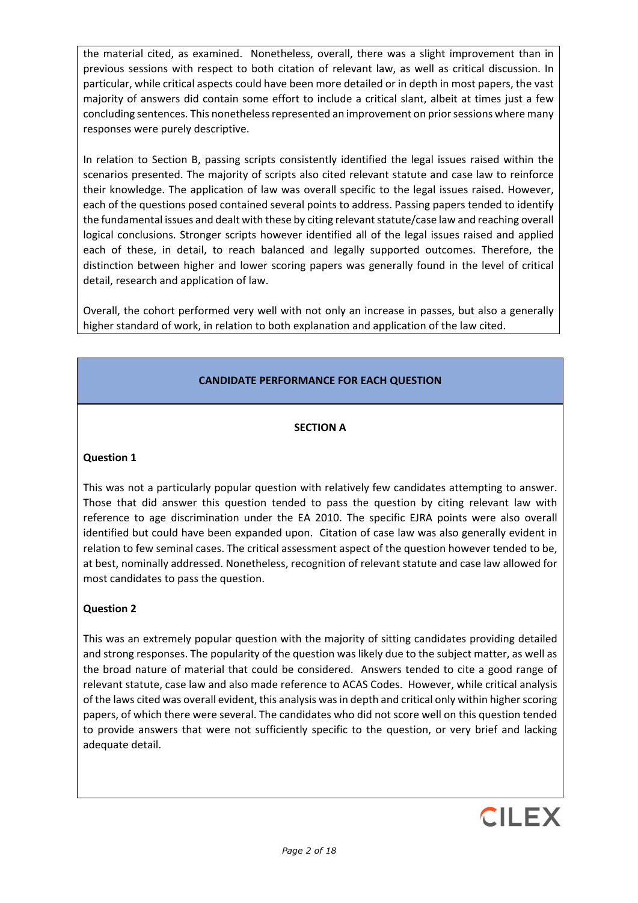the material cited, as examined. Nonetheless, overall, there was a slight improvement than in previous sessions with respect to both citation of relevant law, as well as critical discussion. In particular, while critical aspects could have been more detailed or in depth in most papers, the vast majority of answers did contain some effort to include a critical slant, albeit at times just a few concluding sentences. This nonetheless represented an improvement on prior sessions where many responses were purely descriptive.

In relation to Section B, passing scripts consistently identified the legal issues raised within the scenarios presented. The majority of scripts also cited relevant statute and case law to reinforce their knowledge. The application of law was overall specific to the legal issues raised. However, each of the questions posed contained several points to address. Passing papers tended to identify the fundamental issues and dealt with these by citing relevant statute/case law and reaching overall logical conclusions. Stronger scripts however identified all of the legal issues raised and applied each of these, in detail, to reach balanced and legally supported outcomes. Therefore, the distinction between higher and lower scoring papers was generally found in the level of critical detail, research and application of law.

Overall, the cohort performed very well with not only an increase in passes, but also a generally higher standard of work, in relation to both explanation and application of the law cited.

# **CANDIDATE PERFORMANCE FOR EACH QUESTION**

## **SECTION A**

#### **Question 1**

This was not a particularly popular question with relatively few candidates attempting to answer. Those that did answer this question tended to pass the question by citing relevant law with reference to age discrimination under the EA 2010. The specific EJRA points were also overall identified but could have been expanded upon. Citation of case law was also generally evident in relation to few seminal cases. The critical assessment aspect of the question however tended to be, at best, nominally addressed. Nonetheless, recognition of relevant statute and case law allowed for most candidates to pass the question.

## **Question 2**

This was an extremely popular question with the majority of sitting candidates providing detailed and strong responses. The popularity of the question was likely due to the subject matter, as well as the broad nature of material that could be considered. Answers tended to cite a good range of relevant statute, case law and also made reference to ACAS Codes. However, while critical analysis of the laws cited was overall evident, this analysis was in depth and critical only within higher scoring papers, of which there were several. The candidates who did not score well on this question tended to provide answers that were not sufficiently specific to the question, or very brief and lacking adequate detail.

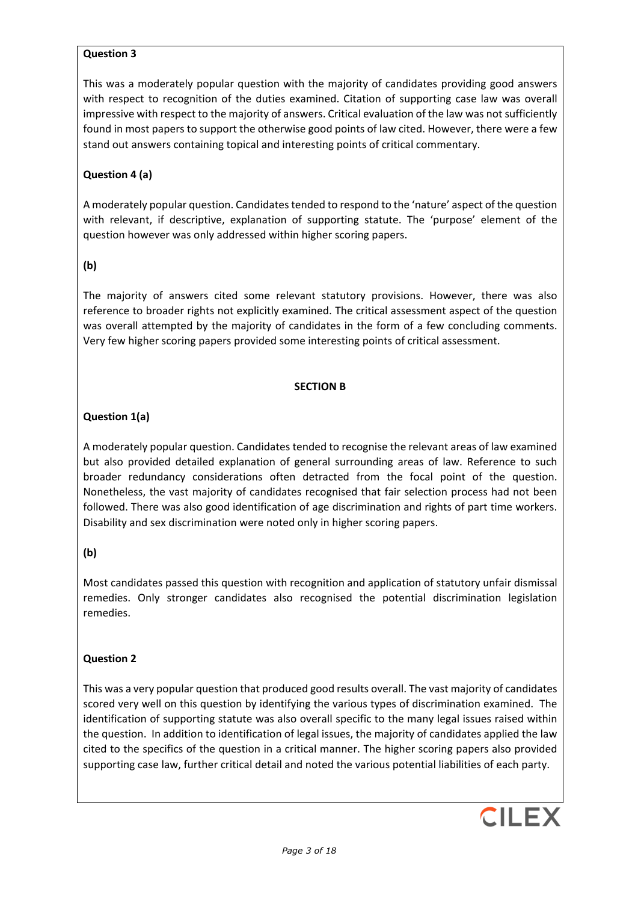## **Question 3**

This was a moderately popular question with the majority of candidates providing good answers with respect to recognition of the duties examined. Citation of supporting case law was overall impressive with respect to the majority of answers. Critical evaluation of the law was not sufficiently found in most papers to support the otherwise good points of law cited. However, there were a few stand out answers containing topical and interesting points of critical commentary.

# **Question 4 (a)**

A moderately popular question. Candidates tended to respond to the 'nature' aspect of the question with relevant, if descriptive, explanation of supporting statute. The 'purpose' element of the question however was only addressed within higher scoring papers.

## **(b)**

The majority of answers cited some relevant statutory provisions. However, there was also reference to broader rights not explicitly examined. The critical assessment aspect of the question was overall attempted by the majority of candidates in the form of a few concluding comments. Very few higher scoring papers provided some interesting points of critical assessment.

## **SECTION B**

# **Question 1(a)**

A moderately popular question. Candidates tended to recognise the relevant areas of law examined but also provided detailed explanation of general surrounding areas of law. Reference to such broader redundancy considerations often detracted from the focal point of the question. Nonetheless, the vast majority of candidates recognised that fair selection process had not been followed. There was also good identification of age discrimination and rights of part time workers. Disability and sex discrimination were noted only in higher scoring papers.

## **(b)**

Most candidates passed this question with recognition and application of statutory unfair dismissal remedies. Only stronger candidates also recognised the potential discrimination legislation remedies.

## **Question 2**

This was a very popular question that produced good results overall. The vast majority of candidates scored very well on this question by identifying the various types of discrimination examined. The identification of supporting statute was also overall specific to the many legal issues raised within the question. In addition to identification of legal issues, the majority of candidates applied the law cited to the specifics of the question in a critical manner. The higher scoring papers also provided supporting case law, further critical detail and noted the various potential liabilities of each party.

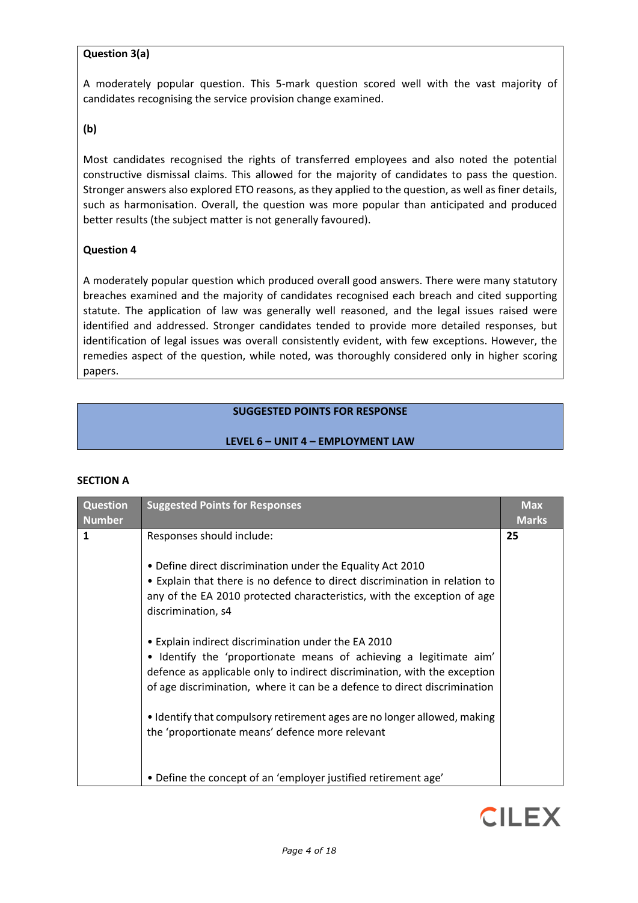## **Question 3(a)**

A moderately popular question. This 5-mark question scored well with the vast majority of candidates recognising the service provision change examined.

#### **(b)**

Most candidates recognised the rights of transferred employees and also noted the potential constructive dismissal claims. This allowed for the majority of candidates to pass the question. Stronger answers also explored ETO reasons, as they applied to the question, as well as finer details, such as harmonisation. Overall, the question was more popular than anticipated and produced better results (the subject matter is not generally favoured).

#### **Question 4**

A moderately popular question which produced overall good answers. There were many statutory breaches examined and the majority of candidates recognised each breach and cited supporting statute. The application of law was generally well reasoned, and the legal issues raised were identified and addressed. Stronger candidates tended to provide more detailed responses, but identification of legal issues was overall consistently evident, with few exceptions. However, the remedies aspect of the question, while noted, was thoroughly considered only in higher scoring papers.

## **SUGGESTED POINTS FOR RESPONSE**

#### **LEVEL 6 – UNIT 4 – EMPLOYMENT LAW**

| <b>Question</b><br><b>Number</b> | <b>Suggested Points for Responses</b>                                                                                                                                                                                                                                                                                                                                                                              | <b>Max</b><br><b>Marks</b> |
|----------------------------------|--------------------------------------------------------------------------------------------------------------------------------------------------------------------------------------------------------------------------------------------------------------------------------------------------------------------------------------------------------------------------------------------------------------------|----------------------------|
| $\mathbf{1}$                     | Responses should include:                                                                                                                                                                                                                                                                                                                                                                                          | 25                         |
|                                  | • Define direct discrimination under the Equality Act 2010<br>• Explain that there is no defence to direct discrimination in relation to<br>any of the EA 2010 protected characteristics, with the exception of age<br>discrimination, s4                                                                                                                                                                          |                            |
|                                  | • Explain indirect discrimination under the EA 2010<br>• Identify the 'proportionate means of achieving a legitimate aim'<br>defence as applicable only to indirect discrimination, with the exception<br>of age discrimination, where it can be a defence to direct discrimination<br>• Identify that compulsory retirement ages are no longer allowed, making<br>the 'proportionate means' defence more relevant |                            |
|                                  | • Define the concept of an 'employer justified retirement age'                                                                                                                                                                                                                                                                                                                                                     |                            |

## **SECTION A**

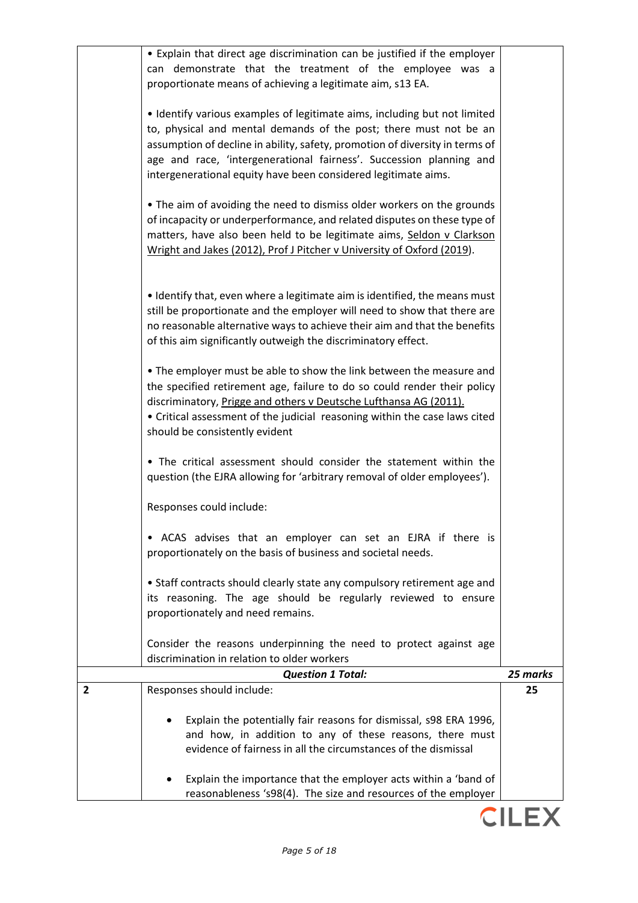|   | • Explain that direct age discrimination can be justified if the employer                                                                                                                                                                                                                                                                                               |          |
|---|-------------------------------------------------------------------------------------------------------------------------------------------------------------------------------------------------------------------------------------------------------------------------------------------------------------------------------------------------------------------------|----------|
|   | can demonstrate that the treatment of the employee was a                                                                                                                                                                                                                                                                                                                |          |
|   | proportionate means of achieving a legitimate aim, s13 EA.                                                                                                                                                                                                                                                                                                              |          |
|   | • Identify various examples of legitimate aims, including but not limited<br>to, physical and mental demands of the post; there must not be an<br>assumption of decline in ability, safety, promotion of diversity in terms of<br>age and race, 'intergenerational fairness'. Succession planning and<br>intergenerational equity have been considered legitimate aims. |          |
|   | • The aim of avoiding the need to dismiss older workers on the grounds<br>of incapacity or underperformance, and related disputes on these type of<br>matters, have also been held to be legitimate aims, Seldon v Clarkson<br>Wright and Jakes (2012), Prof J Pitcher v University of Oxford (2019).                                                                   |          |
|   | • Identify that, even where a legitimate aim is identified, the means must<br>still be proportionate and the employer will need to show that there are<br>no reasonable alternative ways to achieve their aim and that the benefits<br>of this aim significantly outweigh the discriminatory effect.                                                                    |          |
|   | • The employer must be able to show the link between the measure and<br>the specified retirement age, failure to do so could render their policy<br>discriminatory, Prigge and others v Deutsche Lufthansa AG (2011).<br>• Critical assessment of the judicial reasoning within the case laws cited<br>should be consistently evident                                   |          |
|   | • The critical assessment should consider the statement within the<br>question (the EJRA allowing for 'arbitrary removal of older employees').                                                                                                                                                                                                                          |          |
|   | Responses could include:                                                                                                                                                                                                                                                                                                                                                |          |
|   | • ACAS advises that an employer can set an EJRA if there is<br>proportionately on the basis of business and societal needs.                                                                                                                                                                                                                                             |          |
|   | • Staff contracts should clearly state any compulsory retirement age and<br>its reasoning. The age should be regularly reviewed to ensure<br>proportionately and need remains.                                                                                                                                                                                          |          |
|   | Consider the reasons underpinning the need to protect against age<br>discrimination in relation to older workers                                                                                                                                                                                                                                                        |          |
|   | <b>Question 1 Total:</b>                                                                                                                                                                                                                                                                                                                                                | 25 marks |
| 2 | Responses should include:                                                                                                                                                                                                                                                                                                                                               | 25       |
|   | Explain the potentially fair reasons for dismissal, s98 ERA 1996,<br>and how, in addition to any of these reasons, there must<br>evidence of fairness in all the circumstances of the dismissal                                                                                                                                                                         |          |
|   | Explain the importance that the employer acts within a 'band of<br>reasonableness 's98(4). The size and resources of the employer                                                                                                                                                                                                                                       |          |

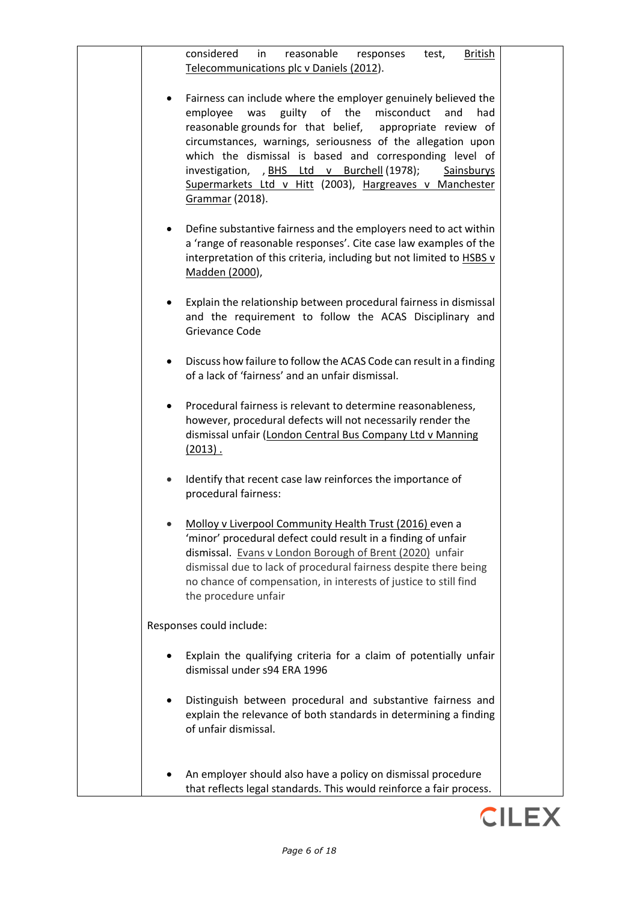| considered<br>reasonable<br>in<br><b>British</b><br>test,<br>responses<br>Telecommunications plc v Daniels (2012).                                                                                                                                                                                                                                                                                                                                               |  |
|------------------------------------------------------------------------------------------------------------------------------------------------------------------------------------------------------------------------------------------------------------------------------------------------------------------------------------------------------------------------------------------------------------------------------------------------------------------|--|
| Fairness can include where the employer genuinely believed the<br>guilty of the<br>employee<br>was<br>misconduct<br>and<br>had<br>reasonable grounds for that belief, appropriate review of<br>circumstances, warnings, seriousness of the allegation upon<br>which the dismissal is based and corresponding level of<br>investigation, , BHS Ltd v Burchell (1978);<br>Sainsburys<br>Supermarkets Ltd v Hitt (2003), Hargreaves v Manchester<br>Grammar (2018). |  |
| Define substantive fairness and the employers need to act within<br>a 'range of reasonable responses'. Cite case law examples of the<br>interpretation of this criteria, including but not limited to HSBS v<br>Madden (2000),                                                                                                                                                                                                                                   |  |
| Explain the relationship between procedural fairness in dismissal<br>and the requirement to follow the ACAS Disciplinary and<br>Grievance Code                                                                                                                                                                                                                                                                                                                   |  |
| Discuss how failure to follow the ACAS Code can result in a finding<br>$\bullet$<br>of a lack of 'fairness' and an unfair dismissal.                                                                                                                                                                                                                                                                                                                             |  |
| Procedural fairness is relevant to determine reasonableness,<br>however, procedural defects will not necessarily render the<br>dismissal unfair (London Central Bus Company Ltd v Manning<br>$(2013)$ .                                                                                                                                                                                                                                                          |  |
| Identify that recent case law reinforces the importance of<br>procedural fairness:                                                                                                                                                                                                                                                                                                                                                                               |  |
| Molloy v Liverpool Community Health Trust (2016) even a<br>'minor' procedural defect could result in a finding of unfair<br>dismissal. Evans v London Borough of Brent (2020) unfair<br>dismissal due to lack of procedural fairness despite there being<br>no chance of compensation, in interests of justice to still find<br>the procedure unfair                                                                                                             |  |
| Responses could include:                                                                                                                                                                                                                                                                                                                                                                                                                                         |  |
| Explain the qualifying criteria for a claim of potentially unfair<br>dismissal under s94 ERA 1996                                                                                                                                                                                                                                                                                                                                                                |  |
| Distinguish between procedural and substantive fairness and<br>explain the relevance of both standards in determining a finding<br>of unfair dismissal.                                                                                                                                                                                                                                                                                                          |  |
| An employer should also have a policy on dismissal procedure<br>that reflects legal standards. This would reinforce a fair process.                                                                                                                                                                                                                                                                                                                              |  |
|                                                                                                                                                                                                                                                                                                                                                                                                                                                                  |  |

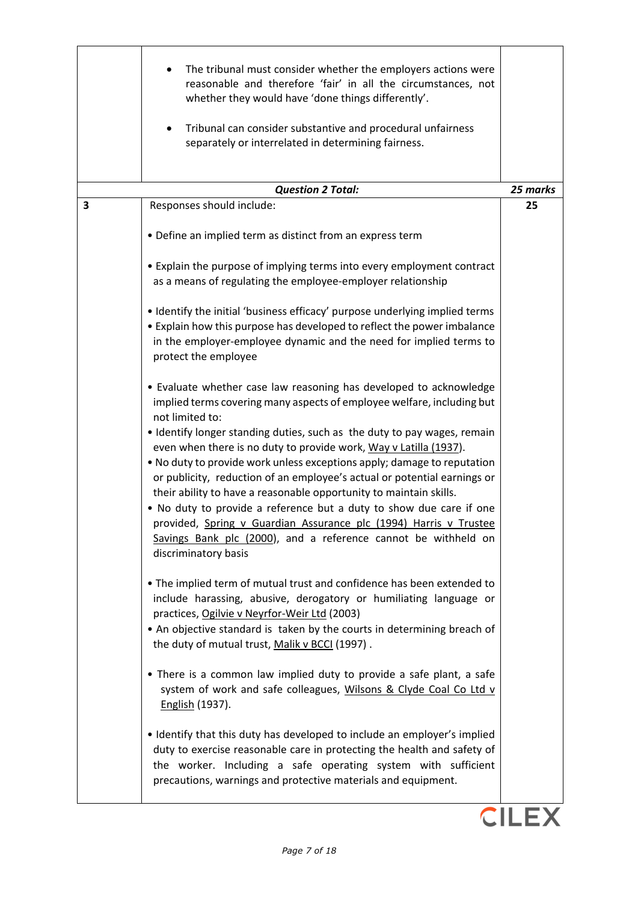|   | The tribunal must consider whether the employers actions were<br>reasonable and therefore 'fair' in all the circumstances, not<br>whether they would have 'done things differently'.<br>Tribunal can consider substantive and procedural unfairness<br>٠<br>separately or interrelated in determining fairness.                                                       |              |
|---|-----------------------------------------------------------------------------------------------------------------------------------------------------------------------------------------------------------------------------------------------------------------------------------------------------------------------------------------------------------------------|--------------|
|   | <b>Question 2 Total:</b>                                                                                                                                                                                                                                                                                                                                              | 25 marks     |
| 3 | Responses should include:                                                                                                                                                                                                                                                                                                                                             | 25           |
|   | • Define an implied term as distinct from an express term                                                                                                                                                                                                                                                                                                             |              |
|   | • Explain the purpose of implying terms into every employment contract<br>as a means of regulating the employee-employer relationship                                                                                                                                                                                                                                 |              |
|   | . Identify the initial 'business efficacy' purpose underlying implied terms<br>• Explain how this purpose has developed to reflect the power imbalance<br>in the employer-employee dynamic and the need for implied terms to<br>protect the employee                                                                                                                  |              |
|   | • Evaluate whether case law reasoning has developed to acknowledge<br>implied terms covering many aspects of employee welfare, including but<br>not limited to:<br>• Identify longer standing duties, such as the duty to pay wages, remain                                                                                                                           |              |
|   | even when there is no duty to provide work, Way v Latilla (1937).<br>. No duty to provide work unless exceptions apply; damage to reputation<br>or publicity, reduction of an employee's actual or potential earnings or<br>their ability to have a reasonable opportunity to maintain skills.<br>. No duty to provide a reference but a duty to show due care if one |              |
|   | provided, Spring v Guardian Assurance plc (1994) Harris v Trustee<br>Savings Bank plc (2000), and a reference cannot be withheld on<br>discriminatory basis                                                                                                                                                                                                           |              |
|   | • The implied term of mutual trust and confidence has been extended to<br>include harassing, abusive, derogatory or humiliating language or<br>practices, Ogilvie v Neyrfor-Weir Ltd (2003)<br>• An objective standard is taken by the courts in determining breach of                                                                                                |              |
|   | the duty of mutual trust, Malik v BCCI (1997).<br>• There is a common law implied duty to provide a safe plant, a safe<br>system of work and safe colleagues, Wilsons & Clyde Coal Co Ltd v                                                                                                                                                                           |              |
|   | English (1937).<br>• Identify that this duty has developed to include an employer's implied<br>duty to exercise reasonable care in protecting the health and safety of<br>the worker. Including a safe operating system with sufficient<br>precautions, warnings and protective materials and equipment.                                                              |              |
|   |                                                                                                                                                                                                                                                                                                                                                                       | <b>CILEX</b> |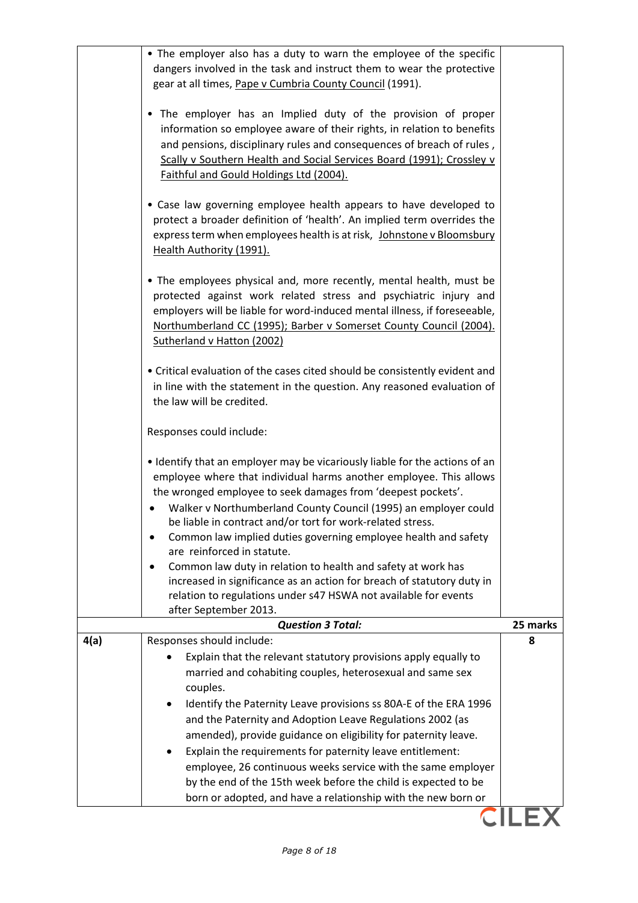|      | • The employer also has a duty to warn the employee of the specific<br>dangers involved in the task and instruct them to wear the protective                                                                                                                                                                                         |          |
|------|--------------------------------------------------------------------------------------------------------------------------------------------------------------------------------------------------------------------------------------------------------------------------------------------------------------------------------------|----------|
|      | gear at all times, Pape v Cumbria County Council (1991).                                                                                                                                                                                                                                                                             |          |
|      | • The employer has an Implied duty of the provision of proper<br>information so employee aware of their rights, in relation to benefits<br>and pensions, disciplinary rules and consequences of breach of rules,<br>Scally v Southern Health and Social Services Board (1991); Crossley v<br>Faithful and Gould Holdings Ltd (2004). |          |
|      | • Case law governing employee health appears to have developed to<br>protect a broader definition of 'health'. An implied term overrides the<br>express term when employees health is at risk, Johnstone v Bloomsbury<br>Health Authority (1991).                                                                                    |          |
|      | • The employees physical and, more recently, mental health, must be<br>protected against work related stress and psychiatric injury and<br>employers will be liable for word-induced mental illness, if foreseeable,<br>Northumberland CC (1995); Barber v Somerset County Council (2004).<br>Sutherland v Hatton (2002)             |          |
|      | • Critical evaluation of the cases cited should be consistently evident and<br>in line with the statement in the question. Any reasoned evaluation of<br>the law will be credited.                                                                                                                                                   |          |
|      | Responses could include:                                                                                                                                                                                                                                                                                                             |          |
|      | • Identify that an employer may be vicariously liable for the actions of an<br>employee where that individual harms another employee. This allows<br>the wronged employee to seek damages from 'deepest pockets'.<br>Walker v Northumberland County Council (1995) an employer could                                                 |          |
|      | be liable in contract and/or tort for work-related stress.<br>Common law implied duties governing employee health and safety<br>are reinforced in statute.                                                                                                                                                                           |          |
|      | Common law duty in relation to health and safety at work has                                                                                                                                                                                                                                                                         |          |
|      | increased in significance as an action for breach of statutory duty in<br>relation to regulations under s47 HSWA not available for events                                                                                                                                                                                            |          |
|      | after September 2013.                                                                                                                                                                                                                                                                                                                |          |
|      | <b>Question 3 Total:</b>                                                                                                                                                                                                                                                                                                             | 25 marks |
| 4(a) | Responses should include:                                                                                                                                                                                                                                                                                                            | 8        |
|      | Explain that the relevant statutory provisions apply equally to<br>married and cohabiting couples, heterosexual and same sex                                                                                                                                                                                                         |          |
|      | couples.                                                                                                                                                                                                                                                                                                                             |          |
|      | Identify the Paternity Leave provisions ss 80A-E of the ERA 1996<br>٠                                                                                                                                                                                                                                                                |          |
|      | and the Paternity and Adoption Leave Regulations 2002 (as                                                                                                                                                                                                                                                                            |          |
|      | amended), provide guidance on eligibility for paternity leave.                                                                                                                                                                                                                                                                       |          |
|      | Explain the requirements for paternity leave entitlement:                                                                                                                                                                                                                                                                            |          |
|      | employee, 26 continuous weeks service with the same employer<br>by the end of the 15th week before the child is expected to be                                                                                                                                                                                                       |          |
|      | born or adopted, and have a relationship with the new born or                                                                                                                                                                                                                                                                        |          |
|      |                                                                                                                                                                                                                                                                                                                                      |          |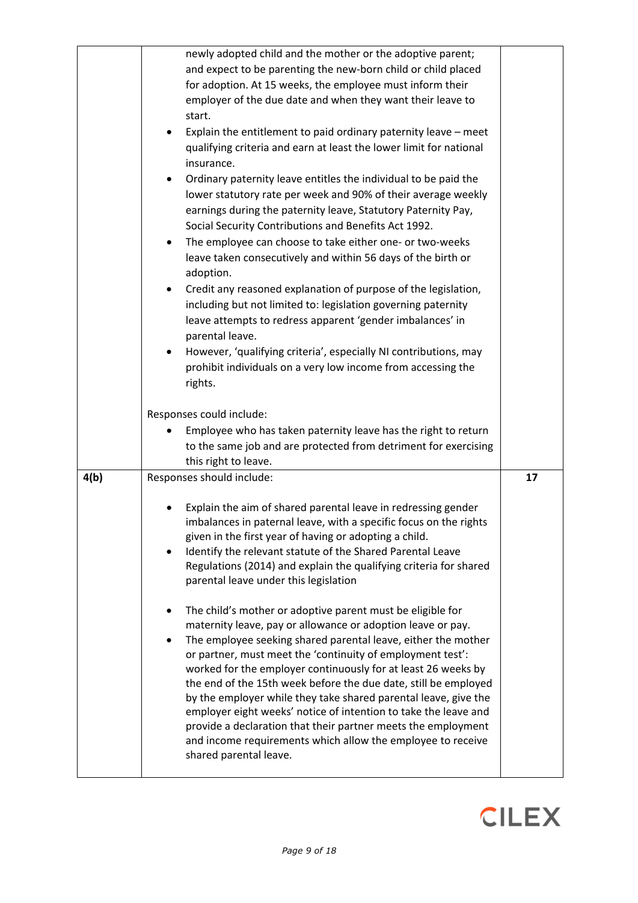|      | newly adopted child and the mother or the adoptive parent;                                                                                |    |
|------|-------------------------------------------------------------------------------------------------------------------------------------------|----|
|      | and expect to be parenting the new-born child or child placed                                                                             |    |
|      | for adoption. At 15 weeks, the employee must inform their                                                                                 |    |
|      | employer of the due date and when they want their leave to                                                                                |    |
|      | start.                                                                                                                                    |    |
|      | Explain the entitlement to paid ordinary paternity leave - meet<br>$\bullet$                                                              |    |
|      | qualifying criteria and earn at least the lower limit for national                                                                        |    |
|      | insurance.                                                                                                                                |    |
|      | Ordinary paternity leave entitles the individual to be paid the                                                                           |    |
|      | lower statutory rate per week and 90% of their average weekly                                                                             |    |
|      | earnings during the paternity leave, Statutory Paternity Pay,                                                                             |    |
|      | Social Security Contributions and Benefits Act 1992.                                                                                      |    |
|      | The employee can choose to take either one- or two-weeks<br>$\bullet$                                                                     |    |
|      | leave taken consecutively and within 56 days of the birth or                                                                              |    |
|      | adoption.                                                                                                                                 |    |
|      | Credit any reasoned explanation of purpose of the legislation,                                                                            |    |
|      | including but not limited to: legislation governing paternity                                                                             |    |
|      | leave attempts to redress apparent 'gender imbalances' in                                                                                 |    |
|      | parental leave.                                                                                                                           |    |
|      | However, 'qualifying criteria', especially NI contributions, may<br>$\bullet$                                                             |    |
|      | prohibit individuals on a very low income from accessing the                                                                              |    |
|      | rights.                                                                                                                                   |    |
|      |                                                                                                                                           |    |
|      | Responses could include:                                                                                                                  |    |
|      | Employee who has taken paternity leave has the right to return                                                                            |    |
|      | to the same job and are protected from detriment for exercising                                                                           |    |
|      | this right to leave.                                                                                                                      |    |
| 4(b) | Responses should include:                                                                                                                 | 17 |
|      |                                                                                                                                           |    |
|      | Explain the aim of shared parental leave in redressing gender                                                                             |    |
|      | imbalances in paternal leave, with a specific focus on the rights                                                                         |    |
|      | given in the first year of having or adopting a child.                                                                                    |    |
|      | Identify the relevant statute of the Shared Parental Leave                                                                                |    |
|      | Regulations (2014) and explain the qualifying criteria for shared                                                                         |    |
|      | parental leave under this legislation                                                                                                     |    |
|      |                                                                                                                                           |    |
|      | The child's mother or adoptive parent must be eligible for                                                                                |    |
|      | maternity leave, pay or allowance or adoption leave or pay.<br>The employee seeking shared parental leave, either the mother<br>$\bullet$ |    |
|      | or partner, must meet the 'continuity of employment test':                                                                                |    |
|      | worked for the employer continuously for at least 26 weeks by                                                                             |    |
|      | the end of the 15th week before the due date, still be employed                                                                           |    |
|      | by the employer while they take shared parental leave, give the                                                                           |    |
|      | employer eight weeks' notice of intention to take the leave and                                                                           |    |
|      | provide a declaration that their partner meets the employment                                                                             |    |
|      | and income requirements which allow the employee to receive                                                                               |    |
|      | shared parental leave.                                                                                                                    |    |
|      |                                                                                                                                           |    |

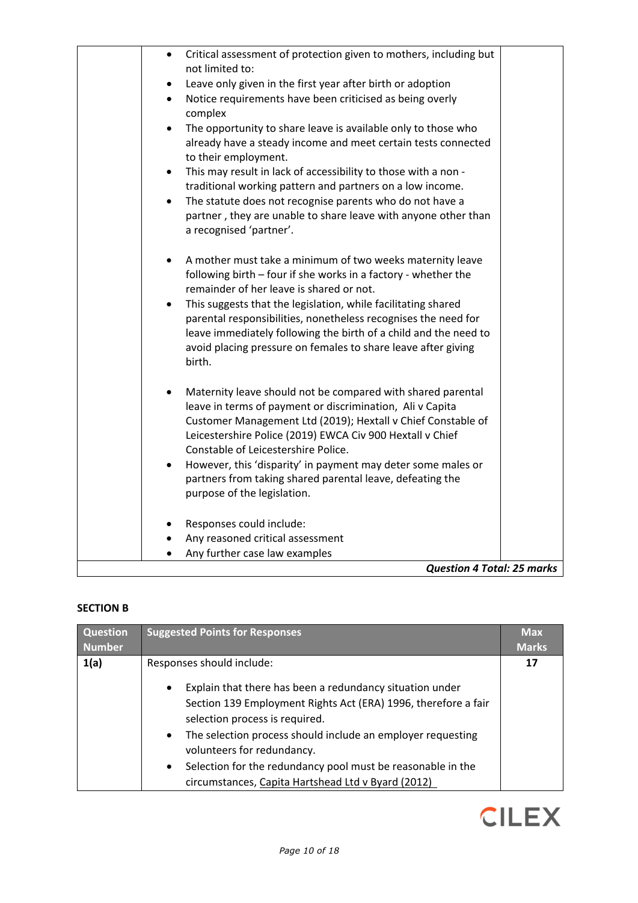| Critical assessment of protection given to mothers, including but<br>$\bullet$            |  |
|-------------------------------------------------------------------------------------------|--|
| not limited to:                                                                           |  |
| Leave only given in the first year after birth or adoption                                |  |
| Notice requirements have been criticised as being overly<br>$\bullet$<br>complex          |  |
| The opportunity to share leave is available only to those who<br>$\bullet$                |  |
| already have a steady income and meet certain tests connected<br>to their employment.     |  |
| This may result in lack of accessibility to those with a non -<br>$\bullet$               |  |
| traditional working pattern and partners on a low income.                                 |  |
| The statute does not recognise parents who do not have a<br>$\bullet$                     |  |
| partner, they are unable to share leave with anyone other than<br>a recognised 'partner'. |  |
| A mother must take a minimum of two weeks maternity leave                                 |  |
| following birth - four if she works in a factory - whether the                            |  |
| remainder of her leave is shared or not.                                                  |  |
| This suggests that the legislation, while facilitating shared<br>$\bullet$                |  |
| parental responsibilities, nonetheless recognises the need for                            |  |
| leave immediately following the birth of a child and the need to                          |  |
| avoid placing pressure on females to share leave after giving                             |  |
| birth.                                                                                    |  |
| Maternity leave should not be compared with shared parental                               |  |
| leave in terms of payment or discrimination, Ali v Capita                                 |  |
| Customer Management Ltd (2019); Hextall v Chief Constable of                              |  |
| Leicestershire Police (2019) EWCA Civ 900 Hextall v Chief                                 |  |
| Constable of Leicestershire Police.                                                       |  |
| However, this 'disparity' in payment may deter some males or<br>$\bullet$                 |  |
| partners from taking shared parental leave, defeating the                                 |  |
| purpose of the legislation.                                                               |  |
| Responses could include:                                                                  |  |
| Any reasoned critical assessment                                                          |  |
| Any further case law examples                                                             |  |
| <b>Question 4 Total: 25 marks</b>                                                         |  |

# **SECTION B**

| Question<br><b>Number</b> | <b>Suggested Points for Responses</b>                                                                                                                                                                                                                                                                                                                                                                                                              | <b>Max</b><br><b>Marks</b> |
|---------------------------|----------------------------------------------------------------------------------------------------------------------------------------------------------------------------------------------------------------------------------------------------------------------------------------------------------------------------------------------------------------------------------------------------------------------------------------------------|----------------------------|
| 1(a)                      | Responses should include:<br>Explain that there has been a redundancy situation under<br>$\bullet$<br>Section 139 Employment Rights Act (ERA) 1996, therefore a fair<br>selection process is required.<br>The selection process should include an employer requesting<br>$\bullet$<br>volunteers for redundancy.<br>Selection for the redundancy pool must be reasonable in the<br>$\bullet$<br>circumstances, Capita Hartshead Ltd v Byard (2012) | 17                         |

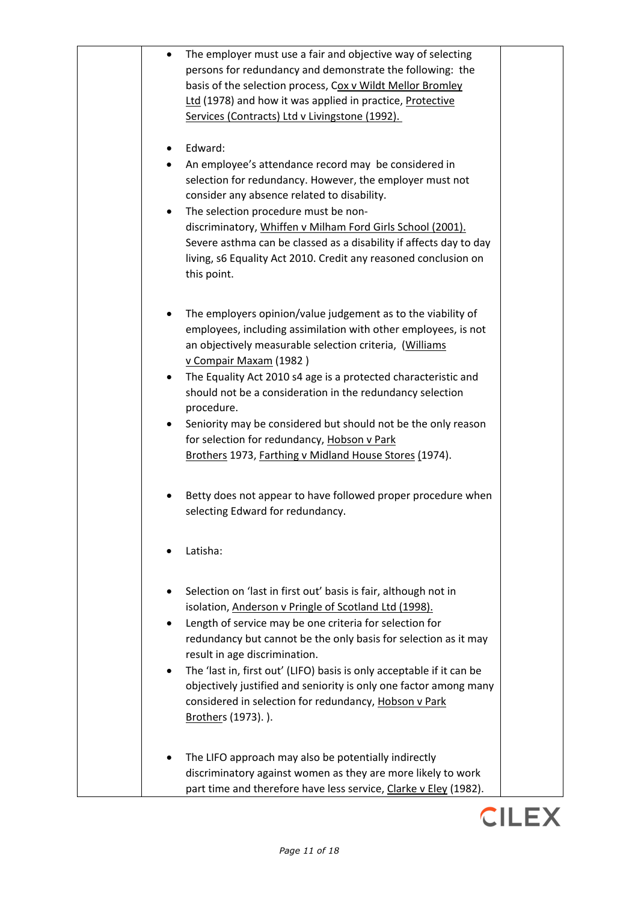| The employer must use a fair and objective way of selecting<br>$\bullet$                                    |  |
|-------------------------------------------------------------------------------------------------------------|--|
| persons for redundancy and demonstrate the following: the                                                   |  |
| basis of the selection process, Cox v Wildt Mellor Bromley                                                  |  |
| Ltd (1978) and how it was applied in practice, Protective<br>Services (Contracts) Ltd v Livingstone (1992). |  |
|                                                                                                             |  |
| Edward:                                                                                                     |  |
| An employee's attendance record may be considered in                                                        |  |
| selection for redundancy. However, the employer must not                                                    |  |
| consider any absence related to disability.                                                                 |  |
| The selection procedure must be non-<br>٠                                                                   |  |
| discriminatory, Whiffen v Milham Ford Girls School (2001).                                                  |  |
| Severe asthma can be classed as a disability if affects day to day                                          |  |
| living, s6 Equality Act 2010. Credit any reasoned conclusion on                                             |  |
| this point.                                                                                                 |  |
|                                                                                                             |  |
| The employers opinion/value judgement as to the viability of                                                |  |
| employees, including assimilation with other employees, is not                                              |  |
| an objectively measurable selection criteria, (Williams<br>v Compair Maxam (1982)                           |  |
| The Equality Act 2010 s4 age is a protected characteristic and<br>$\bullet$                                 |  |
| should not be a consideration in the redundancy selection                                                   |  |
| procedure.                                                                                                  |  |
| Seniority may be considered but should not be the only reason                                               |  |
| for selection for redundancy, Hobson v Park                                                                 |  |
| Brothers 1973, Farthing v Midland House Stores (1974).                                                      |  |
|                                                                                                             |  |
| Betty does not appear to have followed proper procedure when                                                |  |
| selecting Edward for redundancy.                                                                            |  |
|                                                                                                             |  |
| Latisha:                                                                                                    |  |
|                                                                                                             |  |
| Selection on 'last in first out' basis is fair, although not in                                             |  |
| isolation, Anderson v Pringle of Scotland Ltd (1998).                                                       |  |
| Length of service may be one criteria for selection for                                                     |  |
| redundancy but cannot be the only basis for selection as it may                                             |  |
| result in age discrimination.                                                                               |  |
| The 'last in, first out' (LIFO) basis is only acceptable if it can be<br>٠                                  |  |
| objectively justified and seniority is only one factor among many                                           |  |
| considered in selection for redundancy, Hobson v Park                                                       |  |
| Brothers (1973).).                                                                                          |  |
|                                                                                                             |  |
| The LIFO approach may also be potentially indirectly                                                        |  |
| discriminatory against women as they are more likely to work                                                |  |
| part time and therefore have less service, Clarke v Eley (1982).                                            |  |

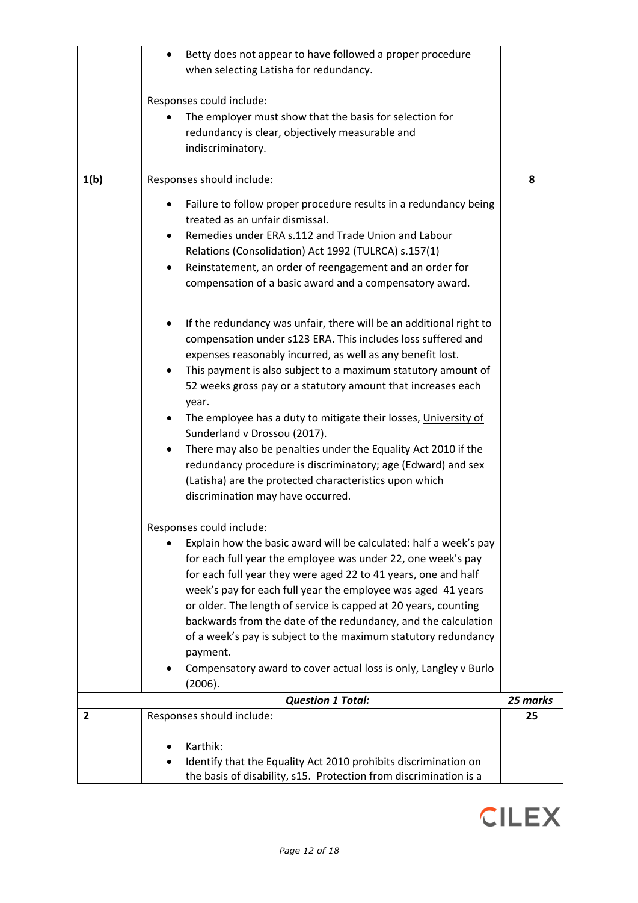|      | Karthik:<br>Identify that the Equality Act 2010 prohibits discrimination on<br>the basis of disability, s15. Protection from discrimination is a |                |
|------|--------------------------------------------------------------------------------------------------------------------------------------------------|----------------|
|      |                                                                                                                                                  |                |
| 2    | <b>Question 1 Total:</b><br>Responses should include:                                                                                            | 25 marks<br>25 |
|      | (2006).                                                                                                                                          |                |
|      | payment.<br>Compensatory award to cover actual loss is only, Langley v Burlo                                                                     |                |
|      | of a week's pay is subject to the maximum statutory redundancy                                                                                   |                |
|      | backwards from the date of the redundancy, and the calculation                                                                                   |                |
|      | week's pay for each full year the employee was aged 41 years<br>or older. The length of service is capped at 20 years, counting                  |                |
|      | for each full year they were aged 22 to 41 years, one and half                                                                                   |                |
|      | for each full year the employee was under 22, one week's pay                                                                                     |                |
|      | Explain how the basic award will be calculated: half a week's pay                                                                                |                |
|      | Responses could include:                                                                                                                         |                |
|      | (Latisha) are the protected characteristics upon which<br>discrimination may have occurred.                                                      |                |
|      | There may also be penalties under the Equality Act 2010 if the<br>redundancy procedure is discriminatory; age (Edward) and sex                   |                |
|      | Sunderland v Drossou (2017).                                                                                                                     |                |
|      | The employee has a duty to mitigate their losses, University of                                                                                  |                |
|      | 52 weeks gross pay or a statutory amount that increases each<br>year.                                                                            |                |
|      | This payment is also subject to a maximum statutory amount of                                                                                    |                |
|      | expenses reasonably incurred, as well as any benefit lost.                                                                                       |                |
|      | If the redundancy was unfair, there will be an additional right to<br>compensation under s123 ERA. This includes loss suffered and               |                |
|      |                                                                                                                                                  |                |
|      | compensation of a basic award and a compensatory award.                                                                                          |                |
|      | Reinstatement, an order of reengagement and an order for                                                                                         |                |
|      | Remedies under ERA s.112 and Trade Union and Labour<br>٠<br>Relations (Consolidation) Act 1992 (TULRCA) s.157(1)                                 |                |
|      | treated as an unfair dismissal.                                                                                                                  |                |
|      | Failure to follow proper procedure results in a redundancy being                                                                                 |                |
| 1(b) | Responses should include:                                                                                                                        | 8              |
|      | indiscriminatory.                                                                                                                                |                |
|      | redundancy is clear, objectively measurable and                                                                                                  |                |
|      | Responses could include:<br>The employer must show that the basis for selection for                                                              |                |
|      |                                                                                                                                                  |                |
|      | Betty does not appear to have followed a proper procedure<br>$\bullet$<br>when selecting Latisha for redundancy.                                 |                |
|      |                                                                                                                                                  |                |

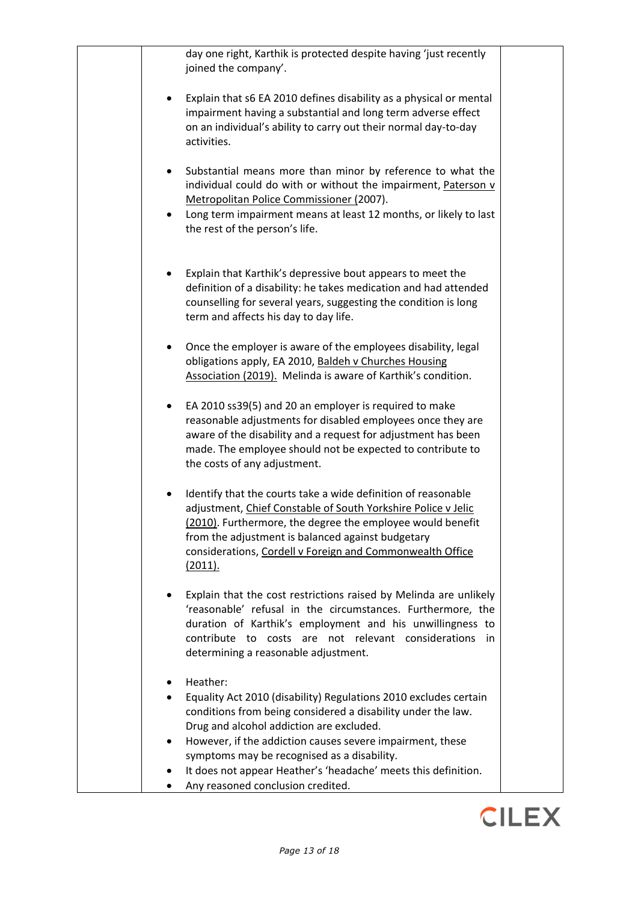| day one right, Karthik is protected despite having 'just recently<br>joined the company'.                                                                                                                                                                                                                                        |  |
|----------------------------------------------------------------------------------------------------------------------------------------------------------------------------------------------------------------------------------------------------------------------------------------------------------------------------------|--|
| Explain that s6 EA 2010 defines disability as a physical or mental<br>٠<br>impairment having a substantial and long term adverse effect<br>on an individual's ability to carry out their normal day-to-day<br>activities.                                                                                                        |  |
| Substantial means more than minor by reference to what the<br>$\bullet$<br>individual could do with or without the impairment, Paterson v<br>Metropolitan Police Commissioner (2007).<br>Long term impairment means at least 12 months, or likely to last<br>$\bullet$<br>the rest of the person's life.                         |  |
| Explain that Karthik's depressive bout appears to meet the<br>٠<br>definition of a disability: he takes medication and had attended<br>counselling for several years, suggesting the condition is long<br>term and affects his day to day life.                                                                                  |  |
| Once the employer is aware of the employees disability, legal<br>obligations apply, EA 2010, Baldeh v Churches Housing<br>Association (2019). Melinda is aware of Karthik's condition.                                                                                                                                           |  |
| EA 2010 ss39(5) and 20 an employer is required to make<br>٠<br>reasonable adjustments for disabled employees once they are<br>aware of the disability and a request for adjustment has been<br>made. The employee should not be expected to contribute to<br>the costs of any adjustment.                                        |  |
| Identify that the courts take a wide definition of reasonable<br>adjustment, Chief Constable of South Yorkshire Police v Jelic<br>(2010). Furthermore, the degree the employee would benefit<br>from the adjustment is balanced against budgetary<br>considerations, Cordell v Foreign and Commonwealth Office<br><u>(2011).</u> |  |
| Explain that the cost restrictions raised by Melinda are unlikely<br>'reasonable' refusal in the circumstances. Furthermore, the<br>duration of Karthik's employment and his unwillingness to<br>contribute to costs are not relevant considerations<br>in.<br>determining a reasonable adjustment.                              |  |
| Heather:                                                                                                                                                                                                                                                                                                                         |  |
| Equality Act 2010 (disability) Regulations 2010 excludes certain                                                                                                                                                                                                                                                                 |  |
| conditions from being considered a disability under the law.                                                                                                                                                                                                                                                                     |  |
| Drug and alcohol addiction are excluded.                                                                                                                                                                                                                                                                                         |  |
| However, if the addiction causes severe impairment, these<br>symptoms may be recognised as a disability.                                                                                                                                                                                                                         |  |
| It does not appear Heather's 'headache' meets this definition.                                                                                                                                                                                                                                                                   |  |
| Any reasoned conclusion credited.                                                                                                                                                                                                                                                                                                |  |

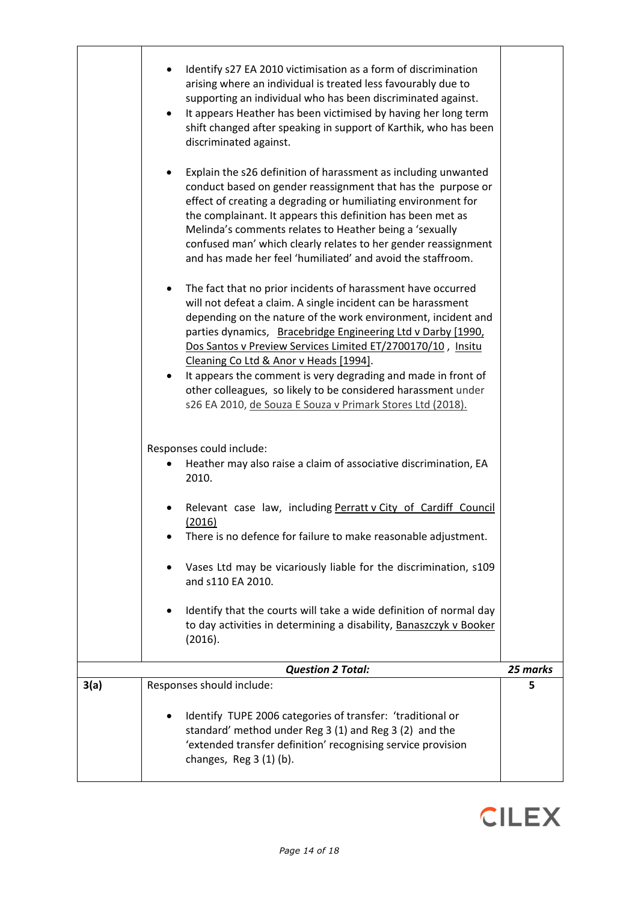|      | Identify s27 EA 2010 victimisation as a form of discrimination<br>arising where an individual is treated less favourably due to<br>supporting an individual who has been discriminated against.<br>It appears Heather has been victimised by having her long term<br>٠<br>shift changed after speaking in support of Karthik, who has been<br>discriminated against.<br>Explain the s26 definition of harassment as including unwanted<br>conduct based on gender reassignment that has the purpose or<br>effect of creating a degrading or humiliating environment for<br>the complainant. It appears this definition has been met as<br>Melinda's comments relates to Heather being a 'sexually<br>confused man' which clearly relates to her gender reassignment<br>and has made her feel 'humiliated' and avoid the staffroom.<br>The fact that no prior incidents of harassment have occurred<br>will not defeat a claim. A single incident can be harassment<br>depending on the nature of the work environment, incident and<br>parties dynamics, Bracebridge Engineering Ltd v Darby [1990,<br>Dos Santos v Preview Services Limited ET/2700170/10, Insitu<br>Cleaning Co Ltd & Anor v Heads [1994].<br>It appears the comment is very degrading and made in front of<br>other colleagues, so likely to be considered harassment under<br>s26 EA 2010, de Souza E Souza v Primark Stores Ltd (2018).<br>Responses could include:<br>Heather may also raise a claim of associative discrimination, EA<br>2010.<br>Relevant case law, including Perratt v City of Cardiff Council |          |
|------|-----------------------------------------------------------------------------------------------------------------------------------------------------------------------------------------------------------------------------------------------------------------------------------------------------------------------------------------------------------------------------------------------------------------------------------------------------------------------------------------------------------------------------------------------------------------------------------------------------------------------------------------------------------------------------------------------------------------------------------------------------------------------------------------------------------------------------------------------------------------------------------------------------------------------------------------------------------------------------------------------------------------------------------------------------------------------------------------------------------------------------------------------------------------------------------------------------------------------------------------------------------------------------------------------------------------------------------------------------------------------------------------------------------------------------------------------------------------------------------------------------------------------------------------------------------------------------------------|----------|
|      | (2016)<br>There is no defence for failure to make reasonable adjustment.<br>Vases Ltd may be vicariously liable for the discrimination, s109                                                                                                                                                                                                                                                                                                                                                                                                                                                                                                                                                                                                                                                                                                                                                                                                                                                                                                                                                                                                                                                                                                                                                                                                                                                                                                                                                                                                                                            |          |
|      | and s110 EA 2010.<br>Identify that the courts will take a wide definition of normal day<br>to day activities in determining a disability, Banaszczyk v Booker<br>(2016).                                                                                                                                                                                                                                                                                                                                                                                                                                                                                                                                                                                                                                                                                                                                                                                                                                                                                                                                                                                                                                                                                                                                                                                                                                                                                                                                                                                                                |          |
|      | <b>Question 2 Total:</b>                                                                                                                                                                                                                                                                                                                                                                                                                                                                                                                                                                                                                                                                                                                                                                                                                                                                                                                                                                                                                                                                                                                                                                                                                                                                                                                                                                                                                                                                                                                                                                | 25 marks |
| 3(a) | Responses should include:                                                                                                                                                                                                                                                                                                                                                                                                                                                                                                                                                                                                                                                                                                                                                                                                                                                                                                                                                                                                                                                                                                                                                                                                                                                                                                                                                                                                                                                                                                                                                               | 5        |
|      | Identify TUPE 2006 categories of transfer: 'traditional or<br>standard' method under Reg 3 (1) and Reg 3 (2) and the<br>'extended transfer definition' recognising service provision<br>changes, $Reg 3 (1) (b)$ .                                                                                                                                                                                                                                                                                                                                                                                                                                                                                                                                                                                                                                                                                                                                                                                                                                                                                                                                                                                                                                                                                                                                                                                                                                                                                                                                                                      |          |

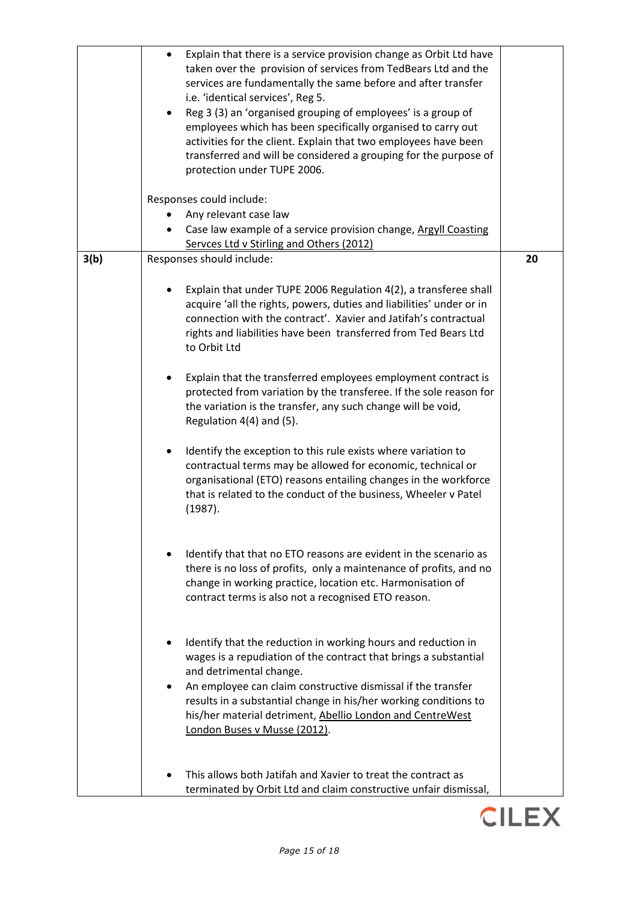|      | Explain that there is a service provision change as Orbit Ltd have<br>$\bullet$<br>taken over the provision of services from TedBears Ltd and the<br>services are fundamentally the same before and after transfer<br>i.e. 'identical services', Reg 5.<br>Reg 3 (3) an 'organised grouping of employees' is a group of<br>employees which has been specifically organised to carry out<br>activities for the client. Explain that two employees have been<br>transferred and will be considered a grouping for the purpose of<br>protection under TUPE 2006.<br>Responses could include: |    |
|------|-------------------------------------------------------------------------------------------------------------------------------------------------------------------------------------------------------------------------------------------------------------------------------------------------------------------------------------------------------------------------------------------------------------------------------------------------------------------------------------------------------------------------------------------------------------------------------------------|----|
|      | Any relevant case law                                                                                                                                                                                                                                                                                                                                                                                                                                                                                                                                                                     |    |
|      | Case law example of a service provision change, Argyll Coasting<br>Servces Ltd v Stirling and Others (2012)                                                                                                                                                                                                                                                                                                                                                                                                                                                                               |    |
| 3(b) | Responses should include:                                                                                                                                                                                                                                                                                                                                                                                                                                                                                                                                                                 | 20 |
|      |                                                                                                                                                                                                                                                                                                                                                                                                                                                                                                                                                                                           |    |
|      | Explain that under TUPE 2006 Regulation 4(2), a transferee shall<br>acquire 'all the rights, powers, duties and liabilities' under or in<br>connection with the contract'. Xavier and Jatifah's contractual<br>rights and liabilities have been transferred from Ted Bears Ltd<br>to Orbit Ltd                                                                                                                                                                                                                                                                                            |    |
|      | Explain that the transferred employees employment contract is<br>protected from variation by the transferee. If the sole reason for<br>the variation is the transfer, any such change will be void,<br>Regulation 4(4) and (5).                                                                                                                                                                                                                                                                                                                                                           |    |
|      | Identify the exception to this rule exists where variation to<br>contractual terms may be allowed for economic, technical or<br>organisational (ETO) reasons entailing changes in the workforce<br>that is related to the conduct of the business, Wheeler v Patel<br>(1987).                                                                                                                                                                                                                                                                                                             |    |
|      | Identify that that no ETO reasons are evident in the scenario as<br>there is no loss of profits, only a maintenance of profits, and no<br>change in working practice, location etc. Harmonisation of<br>contract terms is also not a recognised ETO reason.                                                                                                                                                                                                                                                                                                                               |    |
|      | Identify that the reduction in working hours and reduction in<br>wages is a repudiation of the contract that brings a substantial<br>and detrimental change.<br>An employee can claim constructive dismissal if the transfer<br>results in a substantial change in his/her working conditions to<br>his/her material detriment, Abellio London and CentreWest<br>London Buses v Musse (2012).                                                                                                                                                                                             |    |
|      | This allows both Jatifah and Xavier to treat the contract as<br>terminated by Orbit Ltd and claim constructive unfair dismissal,                                                                                                                                                                                                                                                                                                                                                                                                                                                          |    |

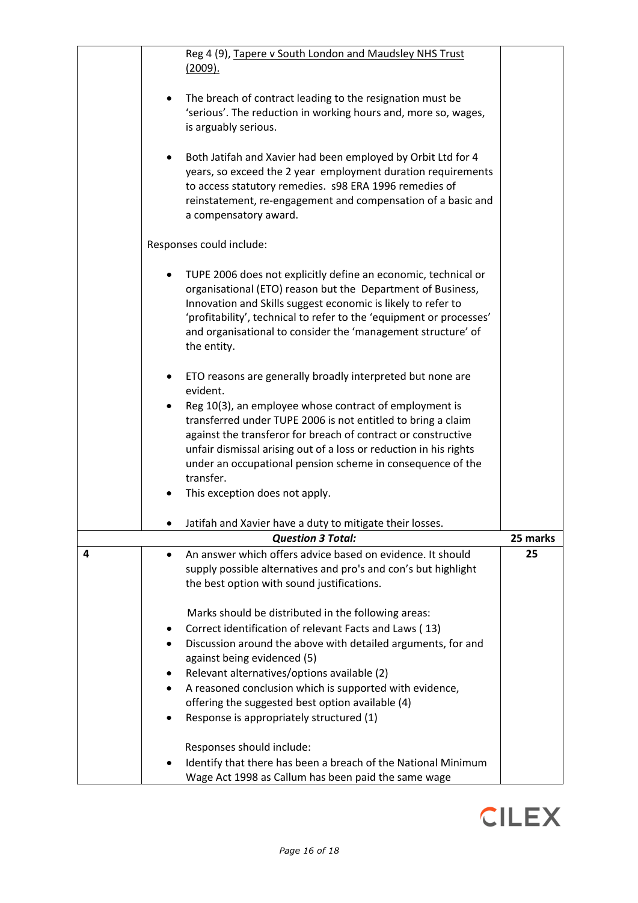|   | Reg 4 (9), Tapere v South London and Maudsley NHS Trust<br>(2009).                                                                                                                                                                                                                                                                                  |          |
|---|-----------------------------------------------------------------------------------------------------------------------------------------------------------------------------------------------------------------------------------------------------------------------------------------------------------------------------------------------------|----------|
|   | The breach of contract leading to the resignation must be<br>'serious'. The reduction in working hours and, more so, wages,<br>is arguably serious.                                                                                                                                                                                                 |          |
|   | Both Jatifah and Xavier had been employed by Orbit Ltd for 4<br>years, so exceed the 2 year employment duration requirements<br>to access statutory remedies. s98 ERA 1996 remedies of<br>reinstatement, re-engagement and compensation of a basic and<br>a compensatory award.                                                                     |          |
|   | Responses could include:                                                                                                                                                                                                                                                                                                                            |          |
|   | TUPE 2006 does not explicitly define an economic, technical or<br>organisational (ETO) reason but the Department of Business,<br>Innovation and Skills suggest economic is likely to refer to<br>'profitability', technical to refer to the 'equipment or processes'<br>and organisational to consider the 'management structure' of<br>the entity. |          |
|   | ETO reasons are generally broadly interpreted but none are<br>evident.                                                                                                                                                                                                                                                                              |          |
|   | Reg 10(3), an employee whose contract of employment is<br>transferred under TUPE 2006 is not entitled to bring a claim<br>against the transferor for breach of contract or constructive<br>unfair dismissal arising out of a loss or reduction in his rights<br>under an occupational pension scheme in consequence of the<br>transfer.             |          |
|   | This exception does not apply.                                                                                                                                                                                                                                                                                                                      |          |
|   | Jatifah and Xavier have a duty to mitigate their losses.                                                                                                                                                                                                                                                                                            |          |
|   | <b>Question 3 Total:</b>                                                                                                                                                                                                                                                                                                                            | 25 marks |
| 4 | An answer which offers advice based on evidence. It should<br>$\bullet$<br>supply possible alternatives and pro's and con's but highlight<br>the best option with sound justifications.                                                                                                                                                             | 25       |
|   | Marks should be distributed in the following areas:                                                                                                                                                                                                                                                                                                 |          |
|   | Correct identification of relevant Facts and Laws (13)<br>٠                                                                                                                                                                                                                                                                                         |          |
|   | Discussion around the above with detailed arguments, for and                                                                                                                                                                                                                                                                                        |          |
|   | against being evidenced (5)                                                                                                                                                                                                                                                                                                                         |          |
|   | Relevant alternatives/options available (2)                                                                                                                                                                                                                                                                                                         |          |
|   | A reasoned conclusion which is supported with evidence,<br>$\bullet$                                                                                                                                                                                                                                                                                |          |
|   | offering the suggested best option available (4)                                                                                                                                                                                                                                                                                                    |          |
|   | Response is appropriately structured (1)                                                                                                                                                                                                                                                                                                            |          |
|   | Responses should include:                                                                                                                                                                                                                                                                                                                           |          |
|   | Identify that there has been a breach of the National Minimum                                                                                                                                                                                                                                                                                       |          |
|   | Wage Act 1998 as Callum has been paid the same wage                                                                                                                                                                                                                                                                                                 |          |

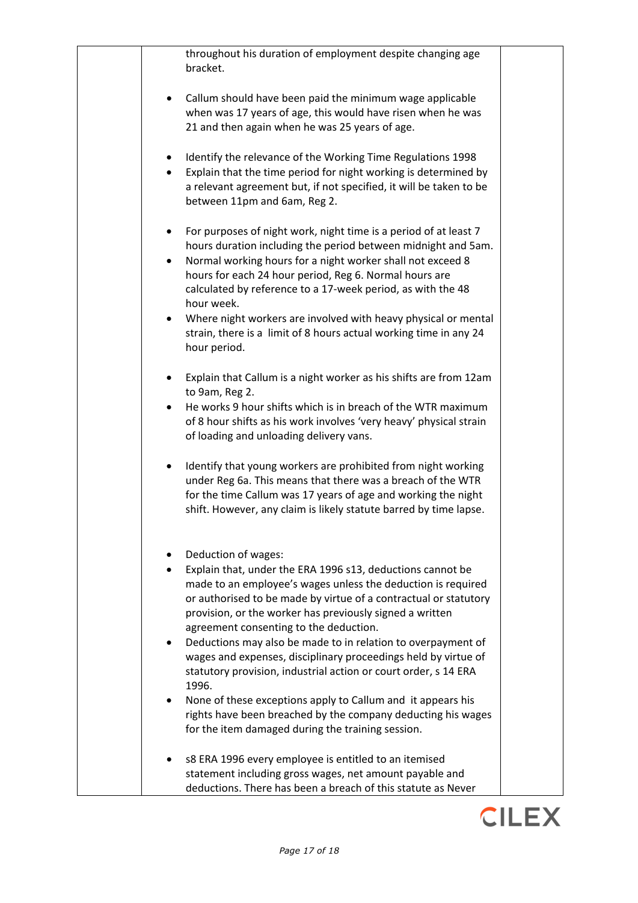|           | throughout his duration of employment despite changing age<br>bracket.                                                                                                                                                                                                                                                                                                                                                                                                        |
|-----------|-------------------------------------------------------------------------------------------------------------------------------------------------------------------------------------------------------------------------------------------------------------------------------------------------------------------------------------------------------------------------------------------------------------------------------------------------------------------------------|
|           | Callum should have been paid the minimum wage applicable<br>when was 17 years of age, this would have risen when he was<br>21 and then again when he was 25 years of age.                                                                                                                                                                                                                                                                                                     |
| $\bullet$ | Identify the relevance of the Working Time Regulations 1998<br>Explain that the time period for night working is determined by<br>a relevant agreement but, if not specified, it will be taken to be<br>between 11pm and 6am, Reg 2.                                                                                                                                                                                                                                          |
| $\bullet$ | For purposes of night work, night time is a period of at least 7<br>hours duration including the period between midnight and 5am.<br>Normal working hours for a night worker shall not exceed 8<br>hours for each 24 hour period, Reg 6. Normal hours are<br>calculated by reference to a 17-week period, as with the 48<br>hour week.<br>Where night workers are involved with heavy physical or mental<br>strain, there is a limit of 8 hours actual working time in any 24 |
|           | hour period.                                                                                                                                                                                                                                                                                                                                                                                                                                                                  |
| $\bullet$ | Explain that Callum is a night worker as his shifts are from 12am<br>to 9am, Reg 2.<br>He works 9 hour shifts which is in breach of the WTR maximum<br>of 8 hour shifts as his work involves 'very heavy' physical strain                                                                                                                                                                                                                                                     |
|           | of loading and unloading delivery vans.                                                                                                                                                                                                                                                                                                                                                                                                                                       |
| $\bullet$ | Identify that young workers are prohibited from night working<br>under Reg 6a. This means that there was a breach of the WTR<br>for the time Callum was 17 years of age and working the night<br>shift. However, any claim is likely statute barred by time lapse.                                                                                                                                                                                                            |
|           | Deduction of wages:<br>Explain that, under the ERA 1996 s13, deductions cannot be<br>made to an employee's wages unless the deduction is required<br>or authorised to be made by virtue of a contractual or statutory<br>provision, or the worker has previously signed a written<br>agreement consenting to the deduction.<br>Deductions may also be made to in relation to overpayment of                                                                                   |
|           | wages and expenses, disciplinary proceedings held by virtue of<br>statutory provision, industrial action or court order, s 14 ERA<br>1996.                                                                                                                                                                                                                                                                                                                                    |
| $\bullet$ | None of these exceptions apply to Callum and it appears his<br>rights have been breached by the company deducting his wages<br>for the item damaged during the training session.                                                                                                                                                                                                                                                                                              |
|           | s8 ERA 1996 every employee is entitled to an itemised<br>statement including gross wages, net amount payable and<br>deductions. There has been a breach of this statute as Never                                                                                                                                                                                                                                                                                              |